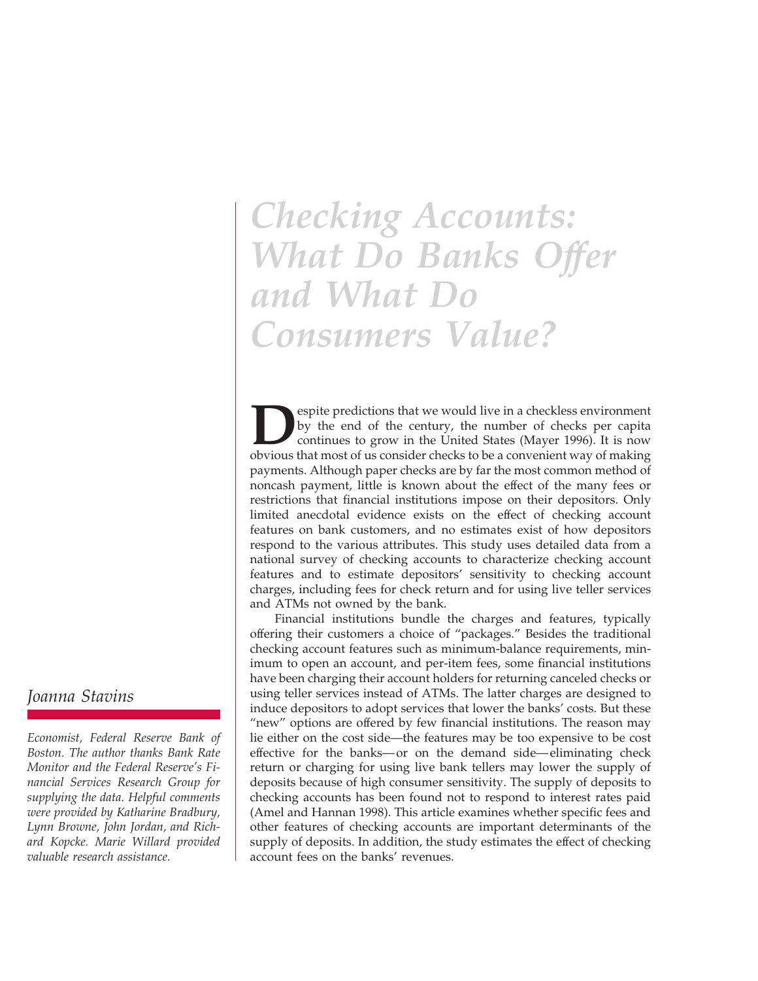# *Checking Accounts: What Do Banks Offer and What Do Consumers Value?*

**Despite predictions that we would live in a checkless environment by the end of the century, the number of checks per capita continues to grow in the United States (Mayer 1996). It is now obvious that most of us consider** by the end of the century, the number of checks per capita continues to grow in the United States (Mayer 1996). It is now obvious that most of us consider checks to be a convenient way of making payments. Although paper checks are by far the most common method of noncash payment, little is known about the effect of the many fees or restrictions that financial institutions impose on their depositors. Only limited anecdotal evidence exists on the effect of checking account features on bank customers, and no estimates exist of how depositors respond to the various attributes. This study uses detailed data from a national survey of checking accounts to characterize checking account features and to estimate depositors' sensitivity to checking account charges, including fees for check return and for using live teller services and ATMs not owned by the bank.

Financial institutions bundle the charges and features, typically offering their customers a choice of "packages." Besides the traditional checking account features such as minimum-balance requirements, minimum to open an account, and per-item fees, some financial institutions have been charging their account holders for returning canceled checks or using teller services instead of ATMs. The latter charges are designed to induce depositors to adopt services that lower the banks' costs. But these "new" options are offered by few financial institutions. The reason may lie either on the cost side—the features may be too expensive to be cost effective for the banks—or on the demand side—eliminating check return or charging for using live bank tellers may lower the supply of deposits because of high consumer sensitivity. The supply of deposits to checking accounts has been found not to respond to interest rates paid (Amel and Hannan 1998). This article examines whether specific fees and other features of checking accounts are important determinants of the supply of deposits. In addition, the study estimates the effect of checking account fees on the banks' revenues.

# *Joanna Stavins*

*Economist, Federal Reserve Bank of Boston. The author thanks Bank Rate Monitor and the Federal Reserve's Financial Services Research Group for supplying the data. Helpful comments were provided by Katharine Bradbury, Lynn Browne, John Jordan, and Richard Kopcke. Marie Willard provided valuable research assistance.*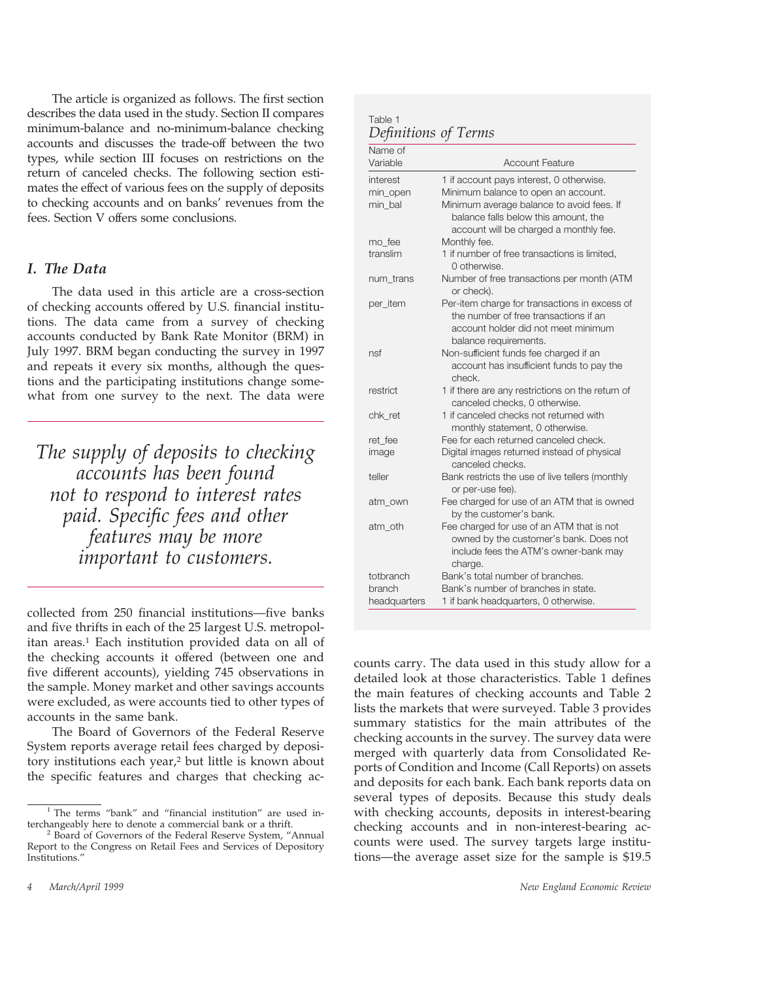The article is organized as follows. The first section describes the data used in the study. Section II compares minimum-balance and no-minimum-balance checking accounts and discusses the trade-off between the two types, while section III focuses on restrictions on the return of canceled checks. The following section estimates the effect of various fees on the supply of deposits to checking accounts and on banks' revenues from the fees. Section V offers some conclusions.

#### *I. The Data*

The data used in this article are a cross-section of checking accounts offered by U.S. financial institutions. The data came from a survey of checking accounts conducted by Bank Rate Monitor (BRM) in July 1997. BRM began conducting the survey in 1997 and repeats it every six months, although the questions and the participating institutions change somewhat from one survey to the next. The data were

*The supply of deposits to checking accounts has been found not to respond to interest rates paid. Specific fees and other features may be more important to customers.*

collected from 250 financial institutions—five banks and five thrifts in each of the 25 largest U.S. metropolitan areas.1 Each institution provided data on all of the checking accounts it offered (between one and five different accounts), yielding 745 observations in the sample. Money market and other savings accounts were excluded, as were accounts tied to other types of accounts in the same bank.

The Board of Governors of the Federal Reserve System reports average retail fees charged by depository institutions each year,2 but little is known about the specific features and charges that checking ac-

| Table 1              |  |
|----------------------|--|
| Definitions of Terms |  |

| Name of<br>Variable | <b>Account Feature</b>                                   |
|---------------------|----------------------------------------------------------|
| interest            | 1 if account pays interest, 0 otherwise.                 |
| min_open            | Minimum balance to open an account.                      |
| min bal             | Minimum average balance to avoid fees. If                |
|                     | balance falls below this amount, the                     |
|                     | account will be charged a monthly fee.                   |
| mo_fee              | Monthly fee.                                             |
| translim            | 1 if number of free transactions is limited.             |
|                     | 0 otherwise.                                             |
| num trans           | Number of free transactions per month (ATM<br>or check). |
| per_item            | Per-item charge for transactions in excess of            |
|                     | the number of free transactions if an                    |
|                     | account holder did not meet minimum                      |
|                     | balance requirements.                                    |
| nsf                 | Non-sufficient funds fee charged if an                   |
|                     | account has insufficient funds to pay the<br>check.      |
| restrict            | 1 if there are any restrictions on the return of         |
|                     | canceled checks, 0 otherwise.                            |
| chk ret             | 1 if canceled checks not returned with                   |
|                     | monthly statement, 0 otherwise.                          |
| ret fee             | Fee for each returned canceled check.                    |
| image               | Digital images returned instead of physical              |
|                     | canceled checks.                                         |
| teller              | Bank restricts the use of live tellers (monthly          |
|                     | or per-use fee).                                         |
| atm own             | Fee charged for use of an ATM that is owned              |
|                     | by the customer's bank.                                  |
| atm oth             | Fee charged for use of an ATM that is not                |
|                     | owned by the customer's bank. Does not                   |
|                     | include fees the ATM's owner-bank may                    |
|                     | charge.                                                  |
| totbranch           | Bank's total number of branches.                         |
| branch              | Bank's number of branches in state.                      |
| headquarters        | 1 if bank headquarters, 0 otherwise.                     |

counts carry. The data used in this study allow for a detailed look at those characteristics. Table 1 defines the main features of checking accounts and Table 2 lists the markets that were surveyed. Table 3 provides summary statistics for the main attributes of the checking accounts in the survey. The survey data were merged with quarterly data from Consolidated Reports of Condition and Income (Call Reports) on assets and deposits for each bank. Each bank reports data on several types of deposits. Because this study deals with checking accounts, deposits in interest-bearing checking accounts and in non-interest-bearing accounts were used. The survey targets large institutions—the average asset size for the sample is \$19.5

<sup>&</sup>lt;sup>1</sup> The terms "bank" and "financial institution" are used interchangeably here to denote a commercial bank or a thrift.

Board of Governors of the Federal Reserve System, "Annual Report to the Congress on Retail Fees and Services of Depository Institutions."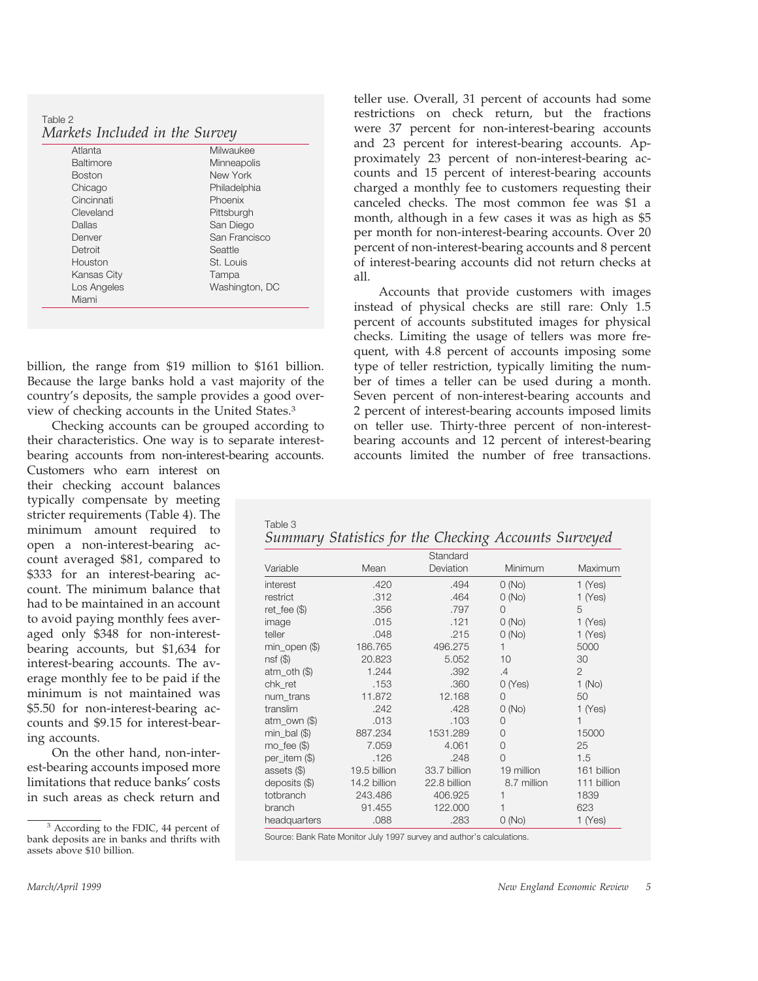Table 2 *Markets Included in the Survey*

| Atlanta          | Milwaukee      |
|------------------|----------------|
| <b>Baltimore</b> | Minneapolis    |
| <b>Boston</b>    | New York       |
| Chicago          | Philadelphia   |
| Cincinnati       | Phoenix        |
| Cleveland        | Pittsburgh     |
| Dallas           | San Diego      |
| Denver           | San Francisco  |
| Detroit          | Seattle        |
| Houston          | St. Louis      |
| Kansas City      | Tampa          |
| Los Angeles      | Washington, DC |
| Miami            |                |
|                  |                |

billion, the range from \$19 million to \$161 billion. Because the large banks hold a vast majority of the country's deposits, the sample provides a good overview of checking accounts in the United States.3

Checking accounts can be grouped according to their characteristics. One way is to separate interestbearing accounts from non-interest-bearing accounts.

Customers who earn interest on their checking account balances typically compensate by meeting stricter requirements (Table 4). The minimum amount required to open a non-interest-bearing account averaged \$81, compared to \$333 for an interest-bearing account. The minimum balance that had to be maintained in an account to avoid paying monthly fees averaged only \$348 for non-interestbearing accounts, but \$1,634 for interest-bearing accounts. The average monthly fee to be paid if the minimum is not maintained was \$5.50 for non-interest-bearing accounts and \$9.15 for interest-bearing accounts.

On the other hand, non-interest-bearing accounts imposed more limitations that reduce banks' costs in such areas as check return and

<sup>3</sup> According to the FDIC, 44 percent of bank deposits are in banks and thrifts with assets above \$10 billion.

teller use. Overall, 31 percent of accounts had some restrictions on check return, but the fractions were 37 percent for non-interest-bearing accounts and 23 percent for interest-bearing accounts. Approximately 23 percent of non-interest-bearing accounts and 15 percent of interest-bearing accounts charged a monthly fee to customers requesting their canceled checks. The most common fee was \$1 a month, although in a few cases it was as high as \$5 per month for non-interest-bearing accounts. Over 20 percent of non-interest-bearing accounts and 8 percent of interest-bearing accounts did not return checks at all.

Accounts that provide customers with images instead of physical checks are still rare: Only 1.5 percent of accounts substituted images for physical checks. Limiting the usage of tellers was more frequent, with 4.8 percent of accounts imposing some type of teller restriction, typically limiting the number of times a teller can be used during a month. Seven percent of non-interest-bearing accounts and 2 percent of interest-bearing accounts imposed limits on teller use. Thirty-three percent of non-interestbearing accounts and 12 percent of interest-bearing accounts limited the number of free transactions.

| Table 3 |  |  |                                                       |  |
|---------|--|--|-------------------------------------------------------|--|
|         |  |  | Summary Statistics for the Checking Accounts Surveyed |  |

|                   |              | Standard     |             |                |
|-------------------|--------------|--------------|-------------|----------------|
| Variable          | Mean         | Deviation    | Minimum     | Maximum        |
| interest          | .420         | .494         | O(No)       | $1$ (Yes)      |
| restrict          | .312         | .464         | O(No)       | $1$ (Yes)      |
| $ret_fee$ (\$)    | .356         | .797         | $\Omega$    | 5              |
| image             | .015         | .121         | O(No)       | $1$ (Yes)      |
| teller            | .048         | .215         | O(No)       | $1$ (Yes)      |
| $min\_open$ (\$)  | 186.765      | 496.275      | 1           | 5000           |
| $nsf(\$\)$        | 20.823       | 5.052        | 10          | 30             |
| $atm_$ oth $(\$)$ | 1.244        | .392         | .4          | $\overline{2}$ |
| chk_ret           | .153         | .360         | O(Yes)      | 1(No)          |
| num trans         | 11.872       | 12.168       | $\Omega$    | 50             |
| translim          | .242         | .428         | O(No)       | $1$ (Yes)      |
| $atm_$ own $(\$)$ | .013         | .103         | 0           | 1              |
| $min$ bal $(\$)$  | 887.234      | 1531.289     | $\Omega$    | 15000          |
| $mo_fee$ (\$)     | 7.059        | 4.061        | O           | 25             |
| per_item (\$)     | .126         | .248         | $\Omega$    | 1.5            |
| assets $(\$)$     | 19.5 billion | 33.7 billion | 19 million  | 161 billion    |
| deposits $(\$)$   | 14.2 billion | 22.8 billion | 8.7 million | 111 billion    |
| totbranch         | 243.486      | 406.925      |             | 1839           |
| branch            | 91.455       | 122.000      |             | 623            |
| headquarters      | .088         | .283         | O(No)       | $1$ (Yes)      |

Source: Bank Rate Monitor July 1997 survey and author's calculations.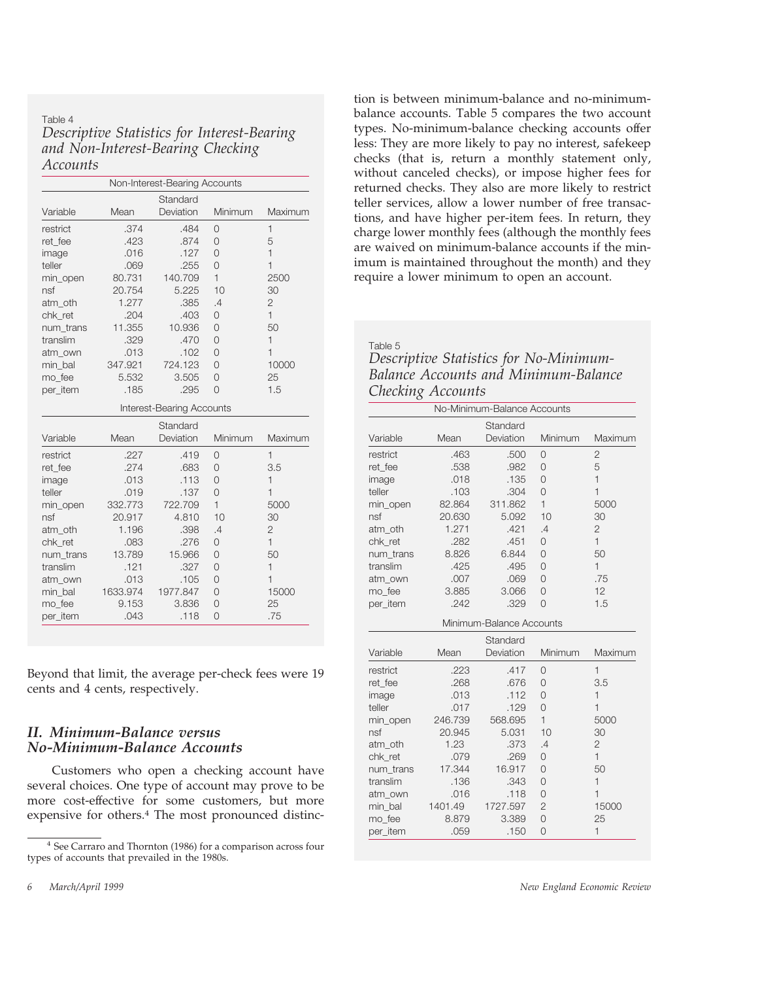#### Table 4 *Descriptive Statistics for Interest-Bearing and Non-Interest-Bearing Checking Accounts*

|           |          | Non-Interest-Bearing Accounts |                |                |
|-----------|----------|-------------------------------|----------------|----------------|
|           |          | Standard                      |                |                |
| Variable  | Mean     | Deviation                     | Minimum        | Maximum        |
| restrict  | .374     | .484                          | $\overline{0}$ | $\mathbf{1}$   |
| ret fee   | .423     | .874                          | $\overline{O}$ | 5              |
| image     | .016     | .127                          | $\overline{O}$ | $\overline{1}$ |
| teller    | .069     | .255                          | $\overline{O}$ | $\mathbf{1}$   |
| min_open  | 80.731   | 140.709                       | $\mathbf{1}$   | 2500           |
| nsf       | 20.754   | 5.225                         | 10             | 30             |
| atm_oth   | 1.277    | .385                          | .4             | $\mathbf{2}$   |
| chk ret   | .204     | .403                          | $\overline{O}$ | $\mathbf{1}$   |
| num trans | 11.355   | 10.936                        | $\overline{O}$ | 50             |
| translim  | .329     | .470                          | $\overline{O}$ | $\mathbf{1}$   |
| atm own   | .013     | .102                          | $\Omega$       | $\mathbf{1}$   |
| min bal   | 347.921  | 724.123                       | $\Omega$       | 10000          |
| mo fee    | 5.532    | 3.505                         | $\overline{O}$ | 25             |
| per item  | .185     | .295                          | $\overline{O}$ | 1.5            |
|           |          | Interest-Bearing Accounts     |                |                |
|           |          | Standard                      |                |                |
| Variable  | Mean     | Deviation                     | Minimum        | Maximum        |
| restrict  | .227     | .419                          | $\overline{0}$ | $\mathbf{1}$   |
| ret_fee   | .274     | .683                          | 0              | 3.5            |
| image     | .013     | .113                          | $\Omega$       | $\mathbf{1}$   |
| teller    | .019     | .137                          | $\overline{O}$ | $\mathbf{1}$   |
| min_open  | 332.773  | 722.709                       | $\mathbf{1}$   | 5000           |
| nsf       | 20.917   | 4.810                         | 10             | 30             |
| atm oth   | 1.196    | .398                          | .4             | $\mathbf{2}$   |
| chk ret   | .083     | .276                          | 0              | $\mathbf{1}$   |
| num trans | 13.789   | 15.966                        | $\overline{O}$ | 50             |
| translim  | .121     | .327                          | 0              | $\mathbf{1}$   |
| atm own   | .013     | .105                          | $\overline{O}$ | $\mathbf{1}$   |
| min bal   | 1633.974 | 1977.847                      | $\overline{O}$ | 15000          |
| mo fee    | 9.153    | 3.836                         | $\overline{O}$ | 25             |
|           |          |                               |                |                |

Beyond that limit, the average per-check fees were 19 cents and 4 cents, respectively.

### *II. Minimum-Balance versus No-Minimum-Balance Accounts*

Customers who open a checking account have several choices. One type of account may prove to be more cost-effective for some customers, but more expensive for others.4 The most pronounced distinction is between minimum-balance and no-minimumbalance accounts. Table 5 compares the two account types. No-minimum-balance checking accounts offer less: They are more likely to pay no interest, safekeep checks (that is, return a monthly statement only, without canceled checks), or impose higher fees for returned checks. They also are more likely to restrict teller services, allow a lower number of free transactions, and have higher per-item fees. In return, they charge lower monthly fees (although the monthly fees are waived on minimum-balance accounts if the minimum is maintained throughout the month) and they require a lower minimum to open an account.

Table 5

| Descriptive Statistics for No-Minimum- |  |
|----------------------------------------|--|
| Balance Accounts and Minimum-Balance   |  |
| Checking Accounts                      |  |

|           |         | No-Minimum-Balance Accounts |                |                |
|-----------|---------|-----------------------------|----------------|----------------|
|           |         | Standard                    |                |                |
| Variable  | Mean    | Deviation                   | Minimum        | Maximum        |
| restrict  | .463    | .500                        | $\Omega$       | 2              |
| ret_fee   | .538    | .982                        | 0              | 5              |
| image     | .018    | .135                        | 0              | $\overline{1}$ |
| teller    | .103    | .304                        | $\Omega$       | $\overline{1}$ |
| min_open  | 82.864  | 311.862                     | $\mathbf{1}$   | 5000           |
| nsf       | 20.630  | 5.092                       | 10             | 30             |
| atm oth   | 1.271   | .421                        | .4             | $\overline{2}$ |
| chk_ret   | .282    | .451                        | $\Omega$       | $\mathbf{1}$   |
| num trans | 8.826   | 6.844                       | 0              | 50             |
| translim  | .425    | .495                        | 0              | $\mathbf{1}$   |
| atm own   | .007    | .069                        | $\overline{O}$ | .75            |
| mo fee    | 3.885   | 3.066                       | $\overline{O}$ | 12             |
| per_item  | .242    | .329                        | $\Omega$       | 1.5            |
|           |         | Minimum-Balance Accounts    |                |                |
|           |         | Standard                    |                |                |
| Variable  | Mean    | Deviation                   | Minimum        | Maximum        |
| restrict  | .223    | .417                        | 0              | $\mathbf{1}$   |
| ret_fee   | .268    | .676                        | $\Omega$       | 3.5            |
| image     | .013    | .112                        | $\Omega$       | 1              |
| teller    | .017    | .129                        | $\Omega$       | $\mathbf{1}$   |
| min_open  | 246.739 | 568.695                     | $\mathbf{1}$   | 5000           |
| nsf       | 20.945  | 5.031                       | 10             | 30             |
| atm oth   | 1.23    | .373                        | .4             | $\overline{2}$ |
| chk_ret   | .079    | .269                        | 0              | $\mathbf{1}$   |
| num trans | 17.344  | 16.917                      | $\Omega$       | 50             |
| translim  | .136    | .343                        | 0              | $\overline{1}$ |
| atm_own   | .016    | .118                        | $\overline{O}$ | $\mathbf{1}$   |
|           |         |                             |                |                |
| min bal   | 1401.49 | 1727.597                    | $\overline{2}$ | 15000          |
| mo_fee    | 8.879   | 3.389                       | 0              | 25             |

<sup>&</sup>lt;sup>4</sup> See Carraro and Thornton (1986) for a comparison across four types of accounts that prevailed in the 1980s.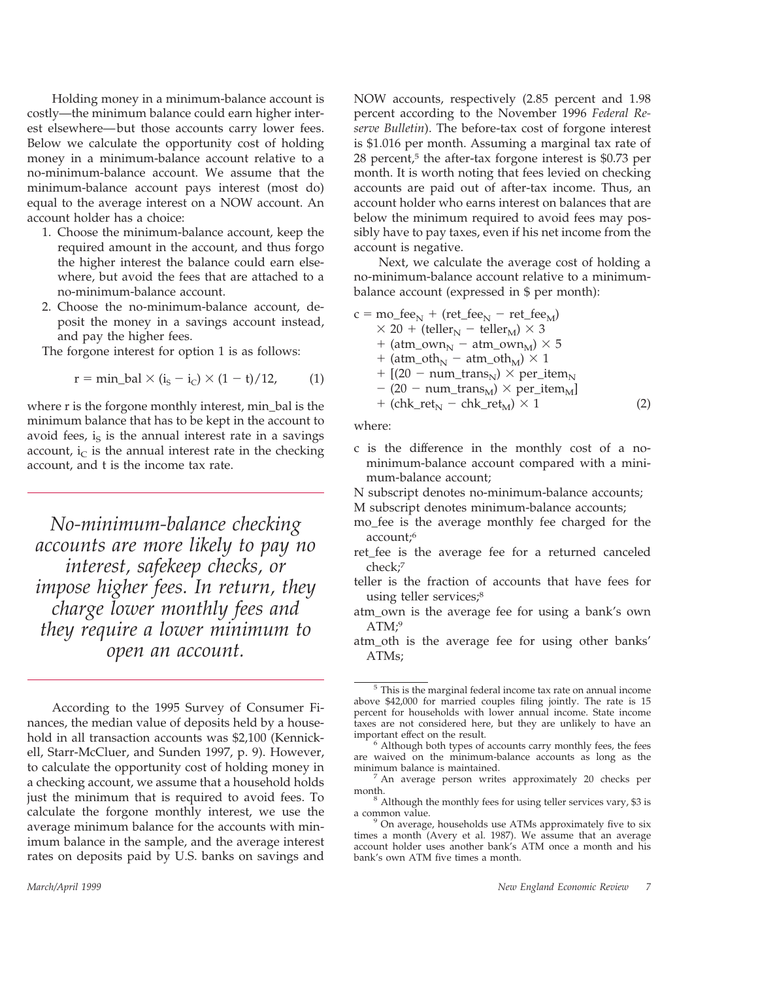Holding money in a minimum-balance account is costly—the minimum balance could earn higher interest elsewhere—but those accounts carry lower fees. Below we calculate the opportunity cost of holding money in a minimum-balance account relative to a no-minimum-balance account. We assume that the minimum-balance account pays interest (most do) equal to the average interest on a NOW account. An account holder has a choice:

- 1. Choose the minimum-balance account, keep the required amount in the account, and thus forgo the higher interest the balance could earn elsewhere, but avoid the fees that are attached to a no-minimum-balance account.
- 2. Choose the no-minimum-balance account, deposit the money in a savings account instead, and pay the higher fees.

The forgone interest for option 1 is as follows:

$$
r = min\_bal \times (i_S - i_C) \times (1 - t)/12,
$$
 (1)

where r is the forgone monthly interest, min\_bal is the minimum balance that has to be kept in the account to avoid fees,  $i_S$  is the annual interest rate in a savings account,  $i<sub>C</sub>$  is the annual interest rate in the checking account, and t is the income tax rate.

*No-minimum-balance checking accounts are more likely to pay no interest, safekeep checks, or impose higher fees. In return, they charge lower monthly fees and they require a lower minimum to open an account.*

According to the 1995 Survey of Consumer Finances, the median value of deposits held by a household in all transaction accounts was \$2,100 (Kennickell, Starr-McCluer, and Sunden 1997, p. 9). However, to calculate the opportunity cost of holding money in a checking account, we assume that a household holds just the minimum that is required to avoid fees. To calculate the forgone monthly interest, we use the average minimum balance for the accounts with minimum balance in the sample, and the average interest rates on deposits paid by U.S. banks on savings and

NOW accounts, respectively (2.85 percent and 1.98 percent according to the November 1996 *Federal Reserve Bulletin*). The before-tax cost of forgone interest is \$1.016 per month. Assuming a marginal tax rate of 28 percent, $5$  the after-tax forgone interest is \$0.73 per month. It is worth noting that fees levied on checking accounts are paid out of after-tax income. Thus, an account holder who earns interest on balances that are below the minimum required to avoid fees may possibly have to pay taxes, even if his net income from the account is negative.

Next, we calculate the average cost of holding a no-minimum-balance account relative to a minimumbalance account (expressed in \$ per month):

$$
c = \text{mo\_fee}_N + (\text{ret\_fee}_N - \text{ret\_fee}_M)
$$
  
\n
$$
\times 20 + (\text{teller}_N - \text{teller}_M) \times 3
$$
  
\n
$$
+ (\text{atm\_own}_N - \text{atm\_own}_M) \times 5
$$
  
\n
$$
+ (\text{atm\_oth}_N - \text{atm\_oth}_M) \times 1
$$
  
\n
$$
+ [(20 - \text{num\_trans}_N) \times \text{per\_item}_N - (20 - \text{num\_trans}_M) \times \text{per\_item}_M]
$$
  
\n
$$
+ (\text{chk\_ret}_N - \text{chk\_ret}_M) \times 1
$$
 (2)

where:

c is the difference in the monthly cost of a nominimum-balance account compared with a minimum-balance account;

N subscript denotes no-minimum-balance accounts;

- M subscript denotes minimum-balance accounts;
- mo\_fee is the average monthly fee charged for the account;6
- ret\_fee is the average fee for a returned canceled check;7
- teller is the fraction of accounts that have fees for using teller services;<sup>8</sup>
- atm\_own is the average fee for using a bank's own  $ATM;9$
- atm\_oth is the average fee for using other banks' ATMs;

This is the marginal federal income tax rate on annual income above \$42,000 for married couples filing jointly. The rate is 15 percent for households with lower annual income. State income taxes are not considered here, but they are unlikely to have an important effect on the result.

Although both types of accounts carry monthly fees, the fees are waived on the minimum-balance accounts as long as the

An average person writes approximately 20 checks per

month. <sup>8</sup> Although the monthly fees for using teller services vary, \$3 is a common value.<br><sup>9</sup> On average, households use ATMs approximately five to six

times a month (Avery et al. 1987). We assume that an average account holder uses another bank's ATM once a month and his bank's own ATM five times a month.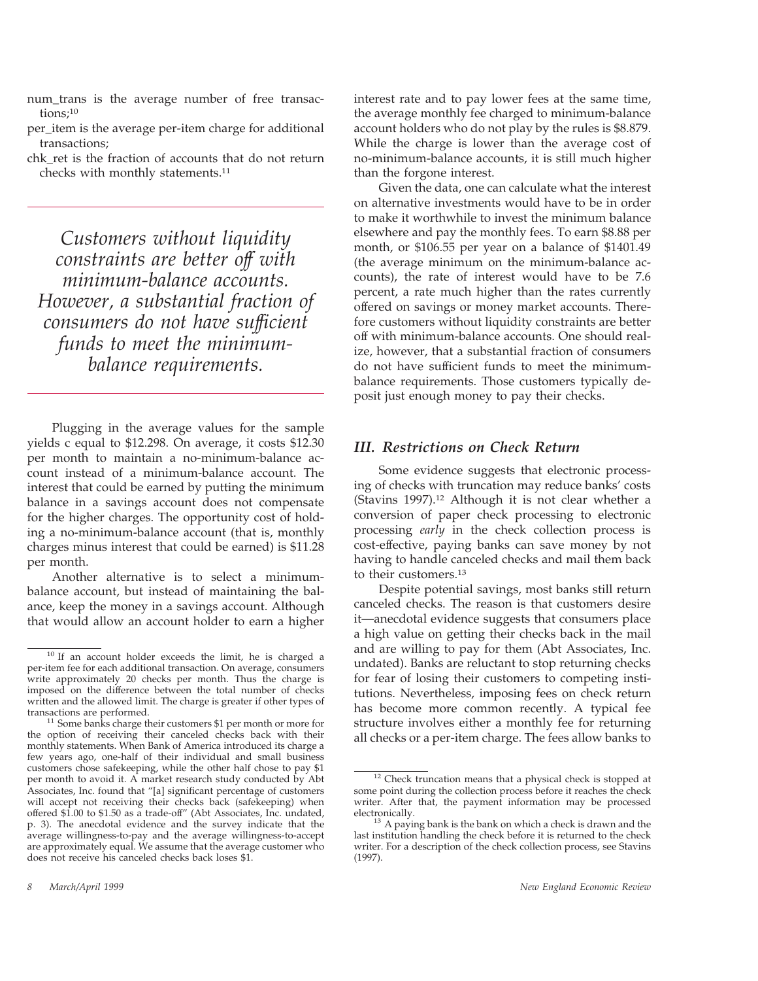- num\_trans is the average number of free transactions;10
- per\_item is the average per-item charge for additional transactions;
- chk\_ret is the fraction of accounts that do not return checks with monthly statements.11

*Customers without liquidity constraints are better off with minimum-balance accounts. However, a substantial fraction of consumers do not have sufficient funds to meet the minimumbalance requirements.*

Plugging in the average values for the sample yields c equal to \$12.298. On average, it costs \$12.30 per month to maintain a no-minimum-balance account instead of a minimum-balance account. The interest that could be earned by putting the minimum balance in a savings account does not compensate for the higher charges. The opportunity cost of holding a no-minimum-balance account (that is, monthly charges minus interest that could be earned) is \$11.28 per month.

Another alternative is to select a minimumbalance account, but instead of maintaining the balance, keep the money in a savings account. Although that would allow an account holder to earn a higher interest rate and to pay lower fees at the same time, the average monthly fee charged to minimum-balance account holders who do not play by the rules is \$8.879. While the charge is lower than the average cost of no-minimum-balance accounts, it is still much higher than the forgone interest.

Given the data, one can calculate what the interest on alternative investments would have to be in order to make it worthwhile to invest the minimum balance elsewhere and pay the monthly fees. To earn \$8.88 per month, or \$106.55 per year on a balance of \$1401.49 (the average minimum on the minimum-balance accounts), the rate of interest would have to be 7.6 percent, a rate much higher than the rates currently offered on savings or money market accounts. Therefore customers without liquidity constraints are better off with minimum-balance accounts. One should realize, however, that a substantial fraction of consumers do not have sufficient funds to meet the minimumbalance requirements. Those customers typically deposit just enough money to pay their checks.

## *III. Restrictions on Check Return*

Some evidence suggests that electronic processing of checks with truncation may reduce banks' costs (Stavins 1997).12 Although it is not clear whether a conversion of paper check processing to electronic processing *early* in the check collection process is cost-effective, paying banks can save money by not having to handle canceled checks and mail them back to their customers.13

Despite potential savings, most banks still return canceled checks. The reason is that customers desire it—anecdotal evidence suggests that consumers place a high value on getting their checks back in the mail and are willing to pay for them (Abt Associates, Inc. undated). Banks are reluctant to stop returning checks for fear of losing their customers to competing institutions. Nevertheless, imposing fees on check return has become more common recently. A typical fee structure involves either a monthly fee for returning all checks or a per-item charge. The fees allow banks to

<sup>&</sup>lt;sup>10</sup> If an account holder exceeds the limit, he is charged a per-item fee for each additional transaction. On average, consumers write approximately 20 checks per month. Thus the charge is imposed on the difference between the total number of checks written and the allowed limit. The charge is greater if other types of

 $11$  Some banks charge their customers \$1 per month or more for the option of receiving their canceled checks back with their monthly statements. When Bank of America introduced its charge a few years ago, one-half of their individual and small business customers chose safekeeping, while the other half chose to pay \$1 per month to avoid it. A market research study conducted by Abt Associates, Inc. found that "[a] significant percentage of customers will accept not receiving their checks back (safekeeping) when offered \$1.00 to \$1.50 as a trade-off" (Abt Associates, Inc. undated, p. 3). The anecdotal evidence and the survey indicate that the average willingness-to-pay and the average willingness-to-accept are approximately equal. We assume that the average customer who does not receive his canceled checks back loses \$1.

<sup>&</sup>lt;sup>12</sup> Check truncation means that a physical check is stopped at some point during the collection process before it reaches the check writer. After that, the payment information may be processed

 $\beta$  A paying bank is the bank on which a check is drawn and the last institution handling the check before it is returned to the check writer. For a description of the check collection process, see Stavins (1997).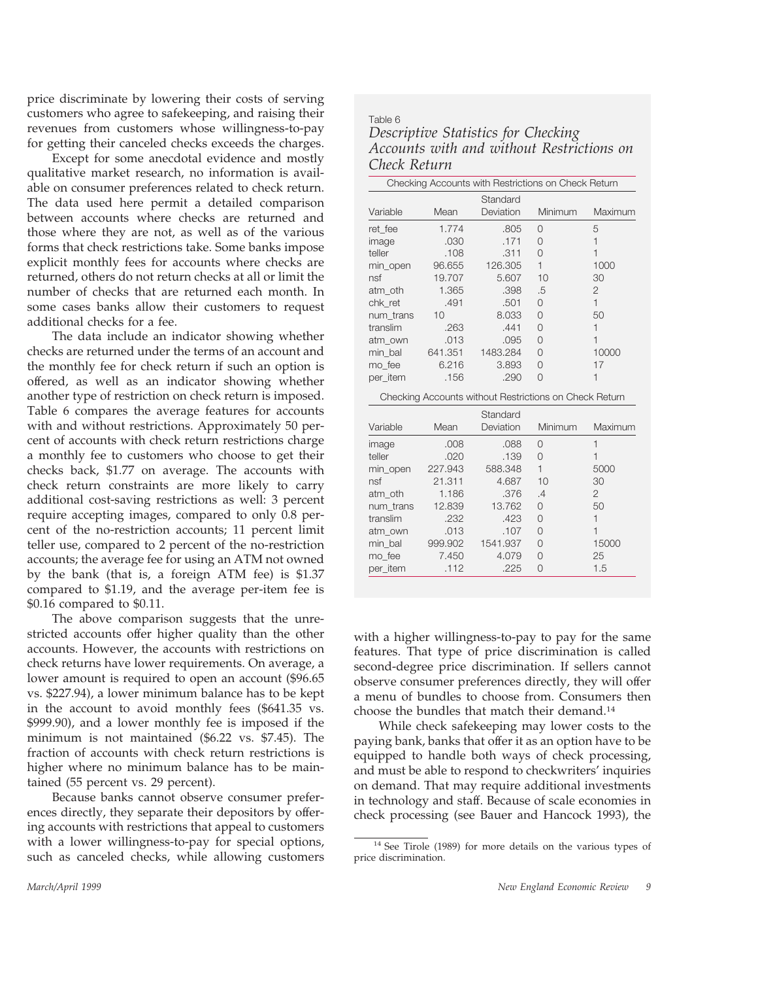price discriminate by lowering their costs of serving customers who agree to safekeeping, and raising their revenues from customers whose willingness-to-pay for getting their canceled checks exceeds the charges.

Except for some anecdotal evidence and mostly qualitative market research, no information is available on consumer preferences related to check return. The data used here permit a detailed comparison between accounts where checks are returned and those where they are not, as well as of the various forms that check restrictions take. Some banks impose explicit monthly fees for accounts where checks are returned, others do not return checks at all or limit the number of checks that are returned each month. In some cases banks allow their customers to request additional checks for a fee.

The data include an indicator showing whether checks are returned under the terms of an account and the monthly fee for check return if such an option is offered, as well as an indicator showing whether another type of restriction on check return is imposed. Table 6 compares the average features for accounts with and without restrictions. Approximately 50 percent of accounts with check return restrictions charge a monthly fee to customers who choose to get their checks back, \$1.77 on average. The accounts with check return constraints are more likely to carry additional cost-saving restrictions as well: 3 percent require accepting images, compared to only 0.8 percent of the no-restriction accounts; 11 percent limit teller use, compared to 2 percent of the no-restriction accounts; the average fee for using an ATM not owned by the bank (that is, a foreign ATM fee) is \$1.37 compared to \$1.19, and the average per-item fee is \$0.16 compared to \$0.11.

The above comparison suggests that the unrestricted accounts offer higher quality than the other accounts. However, the accounts with restrictions on check returns have lower requirements. On average, a lower amount is required to open an account (\$96.65 vs. \$227.94), a lower minimum balance has to be kept in the account to avoid monthly fees (\$641.35 vs. \$999.90), and a lower monthly fee is imposed if the minimum is not maintained (\$6.22 vs. \$7.45). The fraction of accounts with check return restrictions is higher where no minimum balance has to be maintained (55 percent vs. 29 percent).

Because banks cannot observe consumer preferences directly, they separate their depositors by offering accounts with restrictions that appeal to customers with a lower willingness-to-pay for special options, such as canceled checks, while allowing customers

#### Table 6 *Descriptive Statistics for Checking Accounts with and without Restrictions on Check Return*

|           |         | Checking Accounts with Restrictions on Check Return    |              |                          |
|-----------|---------|--------------------------------------------------------|--------------|--------------------------|
|           |         | Standard                                               |              |                          |
| Variable  | Mean    | Deviation                                              | Minimum      | Maximum                  |
| ret fee   | 1.774   | .805                                                   | $\Omega$     | 5                        |
| image     | .030    | .171                                                   | $\Omega$     | $\mathbf{1}$             |
| teller    | .108    | .311                                                   | $\Omega$     | $\overline{1}$           |
| min_open  | 96.655  | 126.305                                                | $\mathbf{1}$ | 1000                     |
| nsf       | 19.707  | 5.607                                                  | 10           | 30                       |
| atm oth   | 1.365   | .398                                                   | .5           | $\overline{2}$           |
| chk ret   | .491    | .501                                                   | $\Omega$     | $\mathbf{1}$             |
| num trans | 10      | 8.033                                                  | $\Omega$     | 50                       |
| translim  | .263    | .441                                                   | $\Omega$     | $\mathbf{1}$             |
| atm own   | .013    | .095                                                   | $\Omega$     | $\overline{\phantom{a}}$ |
| min bal   | 641.351 | 1483.284                                               | $\Omega$     | 10000                    |
| mo fee    | 6.216   | 3.893                                                  | $\Omega$     | 17                       |
| per item  | .156    | .290                                                   | $\Omega$     | 1                        |
|           |         | Checking Accounts without Restrictions on Check Return |              |                          |
|           |         | Standard                                               |              |                          |
| Variable  | Mean    | Deviation                                              | Minimum      | Maximum                  |
| image     | .008    | .088                                                   | $\Omega$     | $\mathbf{1}$             |
| teller    | .020    | .139                                                   | $\Omega$     | $\overline{1}$           |
| min_open  | 227.943 | 588.348                                                | $\mathbf{1}$ | 5000                     |
| nsf       | 21.311  | 4.687                                                  | 10           | 30                       |
| atm oth   | 1.186   | .376                                                   | .4           | $\overline{2}$           |
| num trans | 12.839  | 13.762                                                 | $\Omega$     | 50                       |
| translim  | .232    | .423                                                   | $\Omega$     | $\mathbf{1}$             |
| atm own   | .013    | .107                                                   | $\Omega$     | $\mathbf{1}$             |
| min bal   | 999.902 | 1541.937                                               | $\Omega$     | 15000                    |
| mo fee    | 7.450   | 4.079                                                  | $\Omega$     | 25                       |
| per item  | .112    | .225                                                   | $\Omega$     | 1.5                      |

with a higher willingness-to-pay to pay for the same features. That type of price discrimination is called second-degree price discrimination. If sellers cannot observe consumer preferences directly, they will offer a menu of bundles to choose from. Consumers then choose the bundles that match their demand.14

While check safekeeping may lower costs to the paying bank, banks that offer it as an option have to be equipped to handle both ways of check processing, and must be able to respond to checkwriters' inquiries on demand. That may require additional investments in technology and staff. Because of scale economies in check processing (see Bauer and Hancock 1993), the

<sup>&</sup>lt;sup>14</sup> See Tirole (1989) for more details on the various types of price discrimination.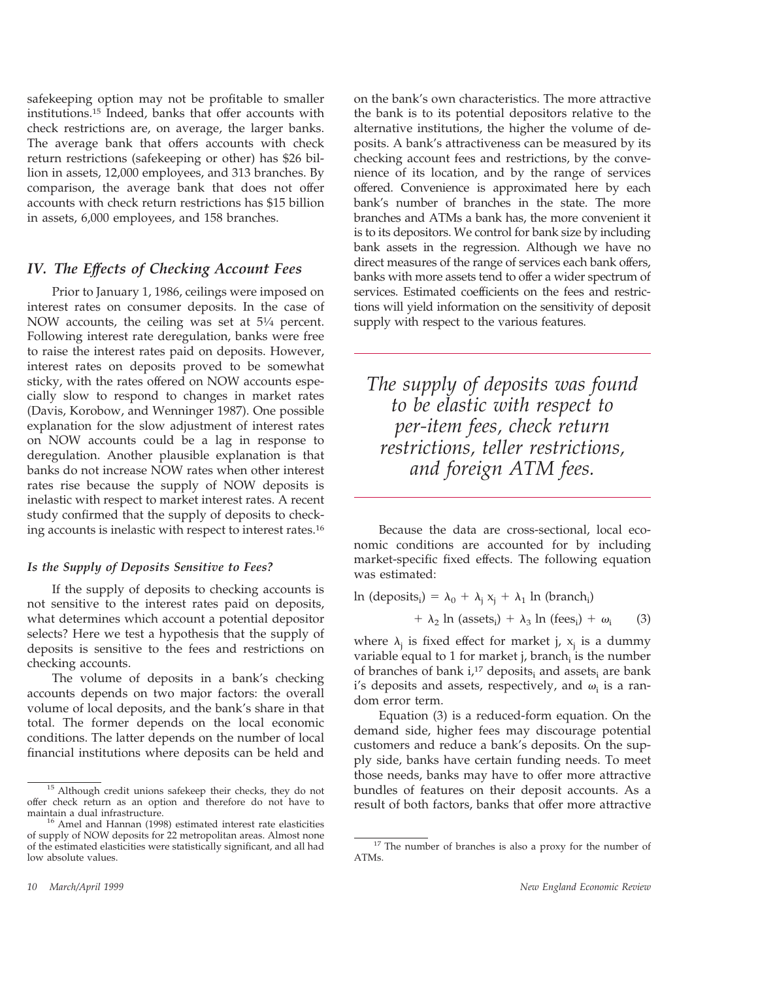safekeeping option may not be profitable to smaller institutions.15 Indeed, banks that offer accounts with check restrictions are, on average, the larger banks. The average bank that offers accounts with check return restrictions (safekeeping or other) has \$26 billion in assets, 12,000 employees, and 313 branches. By comparison, the average bank that does not offer accounts with check return restrictions has \$15 billion in assets, 6,000 employees, and 158 branches.

#### *IV. The Effects of Checking Account Fees*

Prior to January 1, 1986, ceilings were imposed on interest rates on consumer deposits. In the case of NOW accounts, the ceiling was set at 5<sup>1/4</sup> percent. Following interest rate deregulation, banks were free to raise the interest rates paid on deposits. However, interest rates on deposits proved to be somewhat sticky, with the rates offered on NOW accounts especially slow to respond to changes in market rates (Davis, Korobow, and Wenninger 1987). One possible explanation for the slow adjustment of interest rates on NOW accounts could be a lag in response to deregulation. Another plausible explanation is that banks do not increase NOW rates when other interest rates rise because the supply of NOW deposits is inelastic with respect to market interest rates. A recent study confirmed that the supply of deposits to checking accounts is inelastic with respect to interest rates.16

#### *Is the Supply of Deposits Sensitive to Fees?*

If the supply of deposits to checking accounts is not sensitive to the interest rates paid on deposits, what determines which account a potential depositor selects? Here we test a hypothesis that the supply of deposits is sensitive to the fees and restrictions on checking accounts.

The volume of deposits in a bank's checking accounts depends on two major factors: the overall volume of local deposits, and the bank's share in that total. The former depends on the local economic conditions. The latter depends on the number of local financial institutions where deposits can be held and

on the bank's own characteristics. The more attractive the bank is to its potential depositors relative to the alternative institutions, the higher the volume of deposits. A bank's attractiveness can be measured by its checking account fees and restrictions, by the convenience of its location, and by the range of services offered. Convenience is approximated here by each bank's number of branches in the state. The more branches and ATMs a bank has, the more convenient it is to its depositors. We control for bank size by including bank assets in the regression. Although we have no direct measures of the range of services each bank offers, banks with more assets tend to offer a wider spectrum of services. Estimated coefficients on the fees and restrictions will yield information on the sensitivity of deposit supply with respect to the various features.

*The supply of deposits was found to be elastic with respect to per-item fees, check return restrictions, teller restrictions, and foreign ATM fees.*

Because the data are cross-sectional, local economic conditions are accounted for by including market-specific fixed effects. The following equation was estimated:

$$
\ln (\text{deposits}_i) = \lambda_0 + \lambda_j x_j + \lambda_1 \ln (\text{branch}_i)
$$

$$
+ \lambda_2 \ln (\text{assets}_i) + \lambda_3 \ln (\text{fees}_i) + \omega_i \tag{3}
$$

where  $\lambda_i$  is fixed effect for market j,  $x_i$  is a dummy variable equal to 1 for market j, branch<sub>i</sub> is the number of branches of bank  $i<sub>i</sub>$ <sup>17</sup> deposits<sub>i</sub> and assets<sub>i</sub> are bank i's deposits and assets, respectively, and  $\omega_i$  is a random error term.

Equation (3) is a reduced-form equation. On the demand side, higher fees may discourage potential customers and reduce a bank's deposits. On the supply side, banks have certain funding needs. To meet those needs, banks may have to offer more attractive bundles of features on their deposit accounts. As a result of both factors, banks that offer more attractive

Although credit unions safekeep their checks, they do not offer check return as an option and therefore do not have to maintain a dual infrastructure.<br><sup>16</sup> Amel and Hannan (1998) estimated interest rate elasticities

of supply of NOW deposits for 22 metropolitan areas. Almost none of the estimated elasticities were statistically significant, and all had low absolute values.

<sup>&</sup>lt;sup>17</sup> The number of branches is also a proxy for the number of ATMs.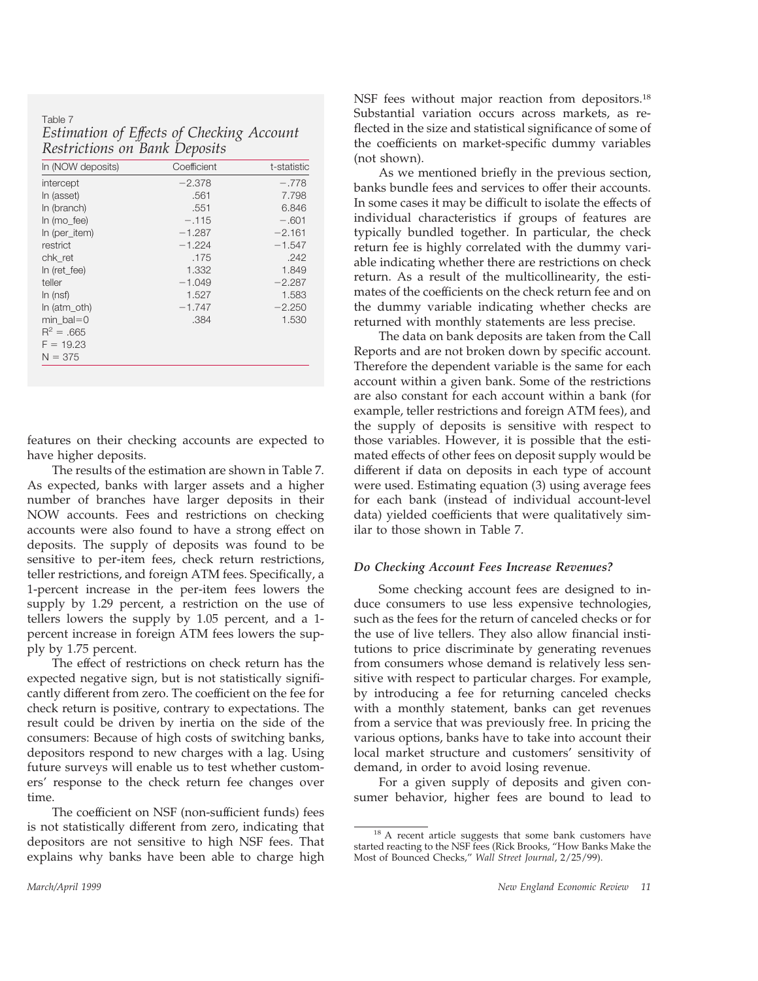Table 7 *Estimation of Effects of Checking Account Restrictions on Bank Deposits*

|                   | ,           |             |
|-------------------|-------------|-------------|
| In (NOW deposits) | Coefficient | t-statistic |
| intercept         | $-2.378$    | $-.778$     |
| In (asset)        | .561        | 7.798       |
| In (branch)       | .551        | 6.846       |
| In $(mo$ fee)     | $-.115$     | $-.601$     |
| In (per item)     | $-1.287$    | $-2.161$    |
| restrict          | $-1.224$    | $-1.547$    |
| chk ret           | .175        | .242        |
| In (ret fee)      | 1.332       | 1.849       |
| teller            | $-1.049$    | $-2.287$    |
| ln (nsf)          | 1.527       | 1.583       |
| In $(atm$ oth)    | $-1.747$    | $-2.250$    |
| $min$ bal=0       | .384        | 1.530       |
| $R^2 = .665$      |             |             |
| $F = 19.23$       |             |             |
| $N = 375$         |             |             |

features on their checking accounts are expected to have higher deposits.

The results of the estimation are shown in Table 7. As expected, banks with larger assets and a higher number of branches have larger deposits in their NOW accounts. Fees and restrictions on checking accounts were also found to have a strong effect on deposits. The supply of deposits was found to be sensitive to per-item fees, check return restrictions, teller restrictions, and foreign ATM fees. Specifically, a 1-percent increase in the per-item fees lowers the supply by 1.29 percent, a restriction on the use of tellers lowers the supply by 1.05 percent, and a 1 percent increase in foreign ATM fees lowers the supply by 1.75 percent.

The effect of restrictions on check return has the expected negative sign, but is not statistically significantly different from zero. The coefficient on the fee for check return is positive, contrary to expectations. The result could be driven by inertia on the side of the consumers: Because of high costs of switching banks, depositors respond to new charges with a lag. Using future surveys will enable us to test whether customers' response to the check return fee changes over time.

The coefficient on NSF (non-sufficient funds) fees is not statistically different from zero, indicating that depositors are not sensitive to high NSF fees. That explains why banks have been able to charge high

NSF fees without major reaction from depositors.<sup>18</sup> Substantial variation occurs across markets, as reflected in the size and statistical significance of some of the coefficients on market-specific dummy variables (not shown).

As we mentioned briefly in the previous section, banks bundle fees and services to offer their accounts. In some cases it may be difficult to isolate the effects of individual characteristics if groups of features are typically bundled together. In particular, the check return fee is highly correlated with the dummy variable indicating whether there are restrictions on check return. As a result of the multicollinearity, the estimates of the coefficients on the check return fee and on the dummy variable indicating whether checks are returned with monthly statements are less precise.

The data on bank deposits are taken from the Call Reports and are not broken down by specific account. Therefore the dependent variable is the same for each account within a given bank. Some of the restrictions are also constant for each account within a bank (for example, teller restrictions and foreign ATM fees), and the supply of deposits is sensitive with respect to those variables. However, it is possible that the estimated effects of other fees on deposit supply would be different if data on deposits in each type of account were used. Estimating equation (3) using average fees for each bank (instead of individual account-level data) yielded coefficients that were qualitatively similar to those shown in Table 7.

#### *Do Checking Account Fees Increase Revenues?*

Some checking account fees are designed to induce consumers to use less expensive technologies, such as the fees for the return of canceled checks or for the use of live tellers. They also allow financial institutions to price discriminate by generating revenues from consumers whose demand is relatively less sensitive with respect to particular charges. For example, by introducing a fee for returning canceled checks with a monthly statement, banks can get revenues from a service that was previously free. In pricing the various options, banks have to take into account their local market structure and customers' sensitivity of demand, in order to avoid losing revenue.

For a given supply of deposits and given consumer behavior, higher fees are bound to lead to

<sup>&</sup>lt;sup>18</sup> A recent article suggests that some bank customers have started reacting to the NSF fees (Rick Brooks, "How Banks Make the Most of Bounced Checks," *Wall Street Journal*, 2/25/99).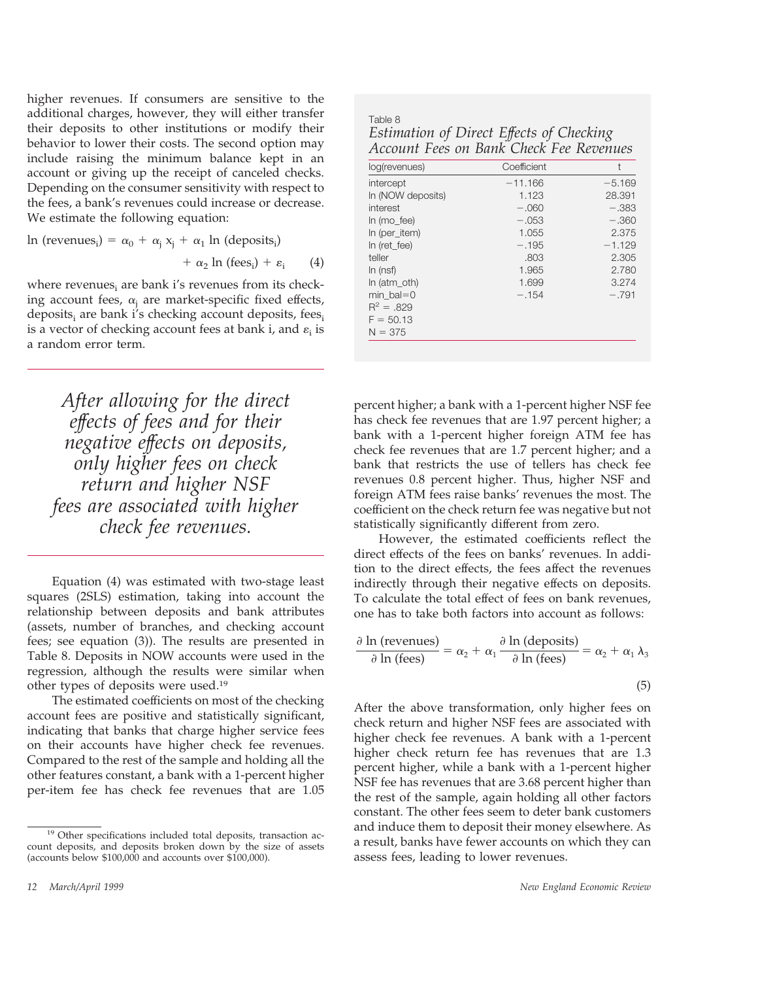higher revenues. If consumers are sensitive to the additional charges, however, they will either transfer their deposits to other institutions or modify their behavior to lower their costs. The second option may include raising the minimum balance kept in an account or giving up the receipt of canceled checks. Depending on the consumer sensitivity with respect to the fees, a bank's revenues could increase or decrease. We estimate the following equation:

 $\ln$  (revenues<sub>i</sub>) =  $\alpha_0 + \alpha_j x_j + \alpha_1 \ln$  (deposits<sub>i</sub>)  $+ \alpha_2 \ln (\text{fees}_i) + \varepsilon_i$  (4)

where revenues $_i$  are bank i's revenues from its checking account fees,  $\alpha_i$  are market-specific fixed effects, deposits<sub>i</sub> are bank i's checking account deposits, fees<sub>i</sub> is a vector of checking account fees at bank i, and  $\varepsilon_i$  is a random error term.

*After allowing for the direct effects of fees and for their negative effects on deposits, only higher fees on check return and higher NSF fees are associated with higher check fee revenues.*

Equation (4) was estimated with two-stage least squares (2SLS) estimation, taking into account the relationship between deposits and bank attributes (assets, number of branches, and checking account fees; see equation (3)). The results are presented in Table 8. Deposits in NOW accounts were used in the regression, although the results were similar when other types of deposits were used.19

The estimated coefficients on most of the checking account fees are positive and statistically significant, indicating that banks that charge higher service fees on their accounts have higher check fee revenues. Compared to the rest of the sample and holding all the other features constant, a bank with a 1-percent higher per-item fee has check fee revenues that are 1.05

| Table 8                                  |
|------------------------------------------|
| Estimation of Direct Effects of Checking |
| Account Fees on Bank Check Fee Revenues  |

| log(revenues)     | Coefficient | t        |
|-------------------|-------------|----------|
| intercept         | $-11.166$   | $-5.169$ |
| In (NOW deposits) | 1.123       | 28.391   |
| interest          | $-.060$     | $-.383$  |
| In $(mo$ fee)     | $-.053$     | $-.360$  |
| In (per item)     | 1.055       | 2.375    |
| In (ret fee)      | $-.195$     | $-1.129$ |
| teller            | .803        | 2.305    |
| ln (nsf)          | 1.965       | 2.780    |
| In (atm oth)      | 1.699       | 3.274    |
| $min$ bal=0       | $-.154$     | $-.791$  |
| $R^2 = .829$      |             |          |
| $F = 50.13$       |             |          |
| $N = 375$         |             |          |

percent higher; a bank with a 1-percent higher NSF fee has check fee revenues that are 1.97 percent higher; a bank with a 1-percent higher foreign ATM fee has check fee revenues that are 1.7 percent higher; and a bank that restricts the use of tellers has check fee revenues 0.8 percent higher. Thus, higher NSF and foreign ATM fees raise banks' revenues the most. The coefficient on the check return fee was negative but not statistically significantly different from zero.

However, the estimated coefficients reflect the direct effects of the fees on banks' revenues. In addition to the direct effects, the fees affect the revenues indirectly through their negative effects on deposits. To calculate the total effect of fees on bank revenues, one has to take both factors into account as follows:

$$
\frac{\partial \ln (\text{revenues})}{\partial \ln (\text{fees})} = \alpha_2 + \alpha_1 \frac{\partial \ln (\text{deposits})}{\partial \ln (\text{fees})} = \alpha_2 + \alpha_1 \lambda_3
$$
\n(5)

After the above transformation, only higher fees on check return and higher NSF fees are associated with higher check fee revenues. A bank with a 1-percent higher check return fee has revenues that are 1.3 percent higher, while a bank with a 1-percent higher NSF fee has revenues that are 3.68 percent higher than the rest of the sample, again holding all other factors constant. The other fees seem to deter bank customers and induce them to deposit their money elsewhere. As a result, banks have fewer accounts on which they can assess fees, leading to lower revenues.

<sup>19</sup> Other specifications included total deposits, transaction account deposits, and deposits broken down by the size of assets (accounts below \$100,000 and accounts over \$100,000).